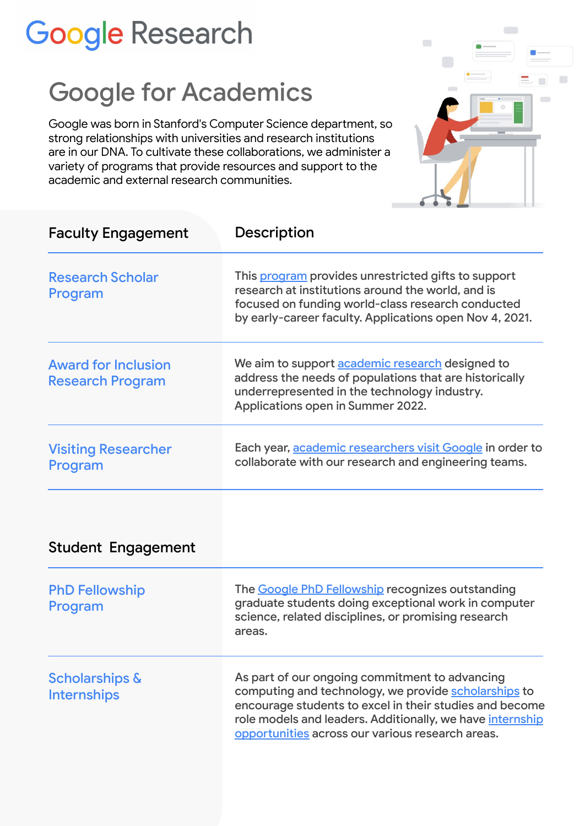## **Google Research**

## Google for Academics

Google was born in Stanford's Computer Science department, so strong relationships with universities and research institutions are in our DNA. To cultivate these collaborations, we administer a variety of programs that provide resources and support to the academic and external research communities.



| <b>Faculty Engagement</b>                             | Description                                                                                                                                                                                                                                                                        |
|-------------------------------------------------------|------------------------------------------------------------------------------------------------------------------------------------------------------------------------------------------------------------------------------------------------------------------------------------|
| <b>Research Scholar</b><br>Program                    | This program provides unrestricted gifts to support<br>research at institutions around the world, and is<br>focused on funding world-class research conducted<br>by early-career faculty. Applications open Nov 4, 2021.                                                           |
| <b>Award for Inclusion</b><br><b>Research Program</b> | We aim to support academic research designed to<br>address the needs of populations that are historically<br>underrepresented in the technology industry.<br>Applications open in Summer 2022.                                                                                     |
| <b>Visiting Researcher</b><br>Program                 | Each year, academic researchers visit Google in order to<br>collaborate with our research and engineering teams.                                                                                                                                                                   |
| <b>Student Engagement</b>                             |                                                                                                                                                                                                                                                                                    |
| <b>PhD Fellowship</b><br>Program                      | The <b>Google PhD Fellowship</b> recognizes outstanding<br>graduate students doing exceptional work in computer<br>science, related disciplines, or promising research<br>areas.                                                                                                   |
| <b>Scholarships &amp;</b><br><b>Internships</b>       | As part of our ongoing commitment to advancing<br>computing and technology, we provide scholarships to<br>encourage students to excel in their studies and become<br>role models and leaders. Additionally, we have internship<br>opportunities across our various research areas. |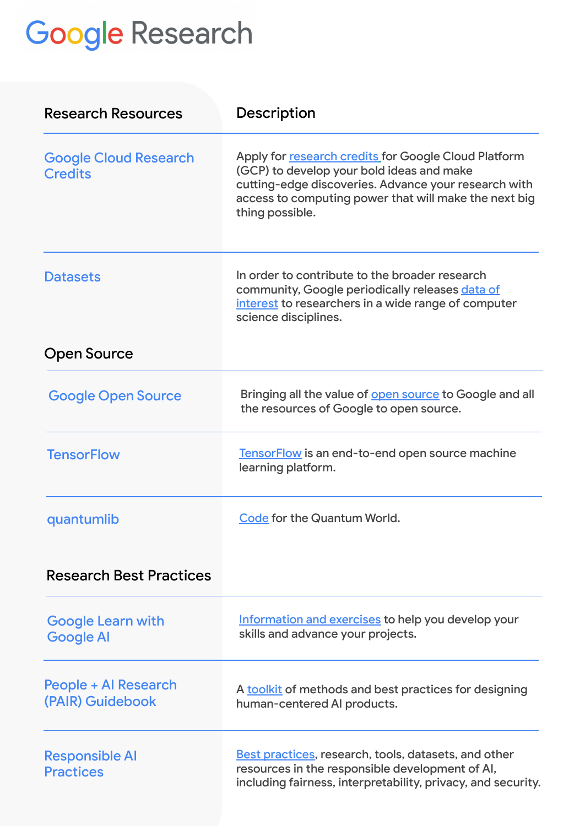## **Google Research**

| <b>Research Resources</b>                      | Description                                                                                                                                                                                                                           |
|------------------------------------------------|---------------------------------------------------------------------------------------------------------------------------------------------------------------------------------------------------------------------------------------|
| <b>Google Cloud Research</b><br><b>Credits</b> | Apply for research credits for Google Cloud Platform<br>(GCP) to develop your bold ideas and make<br>cutting-edge discoveries. Advance your research with<br>access to computing power that will make the next big<br>thing possible. |
| <b>Datasets</b>                                | In order to contribute to the broader research<br>community, Google periodically releases data of<br>interest to researchers in a wide range of computer<br>science disciplines.                                                      |
| Open Source                                    |                                                                                                                                                                                                                                       |
| <b>Google Open Source</b>                      | Bringing all the value of <b>open source</b> to Google and all<br>the resources of Google to open source.                                                                                                                             |
| <b>TensorFlow</b>                              | TensorFlow is an end-to-end open source machine<br>learning platform.                                                                                                                                                                 |
| quantumlib                                     | Code for the Quantum World.                                                                                                                                                                                                           |
| <b>Research Best Practices</b>                 |                                                                                                                                                                                                                                       |
| <b>Google Learn with</b><br><b>Google Al</b>   | Information and exercises to help you develop your<br>skills and advance your projects.                                                                                                                                               |
| People + Al Research<br>(PAIR) Guidebook       | A toolkit of methods and best practices for designing<br>human-centered AI products.                                                                                                                                                  |
| <b>Responsible AI</b><br><b>Practices</b>      | <b>Best practices, research, tools, datasets, and other</b><br>resources in the responsible development of AI,<br>including fairness, interpretability, privacy, and security.                                                        |